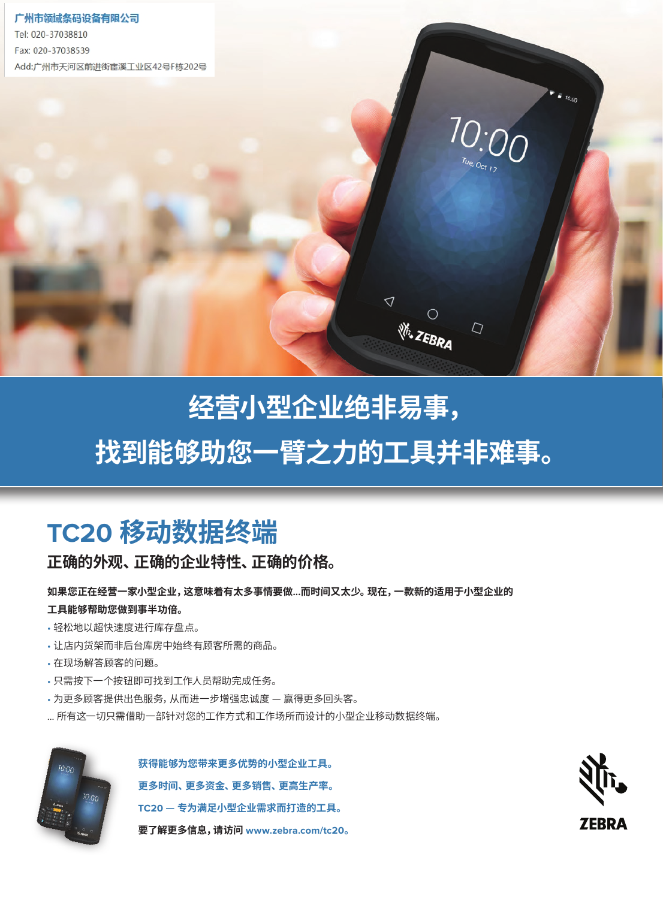

## running a small business is hard work.<br>Running a small business is hard work. **Finding the top is the top in the top in the top in the top in the top in the top in the top in the top in th 找到能够助您一臂之力的工具并非难事。 Finding the top is the top in the top in the top in the top in the top in the top in the top in the top in th**

# **The TC20 Mobile computer The TC20 Mobile computer TC20 移动数据终端**

正确的外观、正确的企业特性、正确的价格。

#### 如果您正在经营一家小型企业,这意味着有太多事情要做...而时间又太少。 现在,一款新的适用于小型企业的 人民的**物的人或做到争于初后。**<br>一天的物质的人或做到争于 **Now, there's a new small business tool that will help you do more — in less time. 工具能够帮助您做到事半功倍。**

- 轻松地以超快速度进行库存盘点。
- $\frac{1}{2}$  at record  $\frac{1}{2}$  inventory painless lying speed. • Keep the items your customers want on the shelves of your store — instead of the backroom. • Keep the items your customers want on the shelves of your store — instead of the backroom. • 让店内货架而非后台库房中始终有顾客所需的商品。
	- 在现场解答顾客的问题。
- Answer any customer and spot.<br>• Answer any customer and the spot. • 只需按下一个按钮即可找到工作人员帮助完成任务。
- Reach any task with the press of a button.<br>• Reach any worker to help with the press of a button. • 为更多顾客提供出色服务,从而进一步增强忠诚度 — 赢得更多回头客。
- Give more customers that and more customers in the extraordinary service that results in more return visits.<br>• Given the customers that results in more return visits. ... 所有这一切只需借助一部针对您的工作方式和工作场所而设计的小型企业移动数据终端。



获得能够为您带来更多优势的小型企业工具。 更多时间、更多资金、更多销售、更高生产率。 **The TC20 — the small business tool done right. The TC20 — the small business tool done right. TC20 — 专为满足小型企业需求而打造的工具。** For more information, visit www.zebra.com/tc20 For more information, visit www.zebra.com/tc20 **要了解更多信息,请访问 www.zebra.com/tc20。**

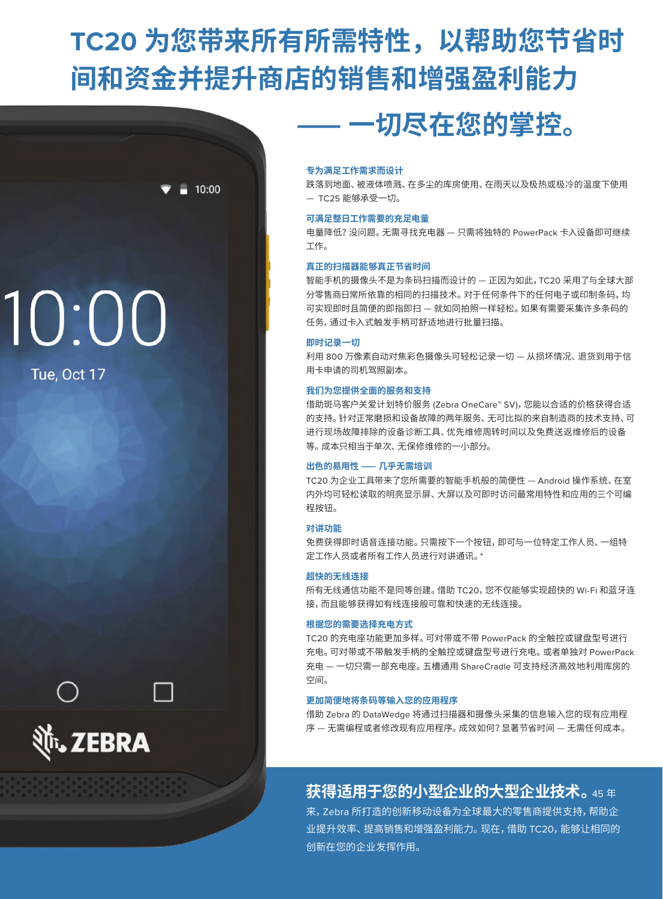# **TC20 为您带来所有所需特性,以帮助您节省时 间和资金并提升商店的销售和增强盈利能力**

 $10:00$ 

# 10:00

Tue, Oct 17



#### **专为满足工作需求而设计**

跌落到地面、被液体喷溅、在多尘的库房使用、在雨天以及极热或极冷的温度下使用 — TC25 能够承受一切。

 **⸺一切尽在您的掌控。**

#### **可满足整日工作需要的充足电量**

电量降低?没问题。无需寻找充电器 — 只需将独特的 PowerPack 卡入设备即可继续 工作。

#### **真正的扫描器能够真正节省时间**

智能手机的摄像头不是为条码扫描而设计的 — 正因为如此,TC20 采用了与全球大部 分零售商日常所依靠的相同的扫描技术。对于任何条件下的任何电子或印制条码,均 可实现即时且简便的即指即扫 — 就如同拍照一样轻松。如果有需要采集许多条码的 任务,通过卡入式触发手柄可舒适地进行批量扫描。

#### **即时记录一切**

利用 800 万像素自动对焦彩色摄像头可轻松记录一切 — 从损坏情况、退货到用于信 用卡申请的司机驾照副本。

#### **我们为您提供全面的服务和支持**

借助斑马客户关爱计划特价服务 (Zebra OneCare™ SV),您能以合适的价格获得合适 的支持。针对正常磨损和设备故障的两年服务、无可比拟的来自制造商的技术支持、可 进行现场故障排除的设备诊断工具、优先维修周转时间以及免费送返维修后的设备 等。成本只相当于单次、无保修维修的一小部分。

#### **出色的易用性⸺几乎无需培训**

TC20 为企业工具带来了您所需要的智能手机般的简便性 — Android 操作系统、在室 内外均可轻松读取的明亮显示屏、大屏以及可即时访问最常用特性和应用的三个可编 程按钮。

#### **对讲功能**

免费获得即时语音连接功能。只需按下一个按钮,即可与一位特定工作人员、一组特 定工作人员或者所有工作人员进行对讲通讯。\*

#### **超快的无线连接**

所有无线通信功能不是同等创建。借助 TC20,您不仅能够实现超快的 Wi-Fi 和蓝牙连 接,而且能够获得如有线连接般可靠和快速的无线连接。

#### **根据您的需要选择充电方式**

TC20 的充电座功能更加多样。可对带或不带 PowerPack 的全触控或键盘型号进行 充电。可对带或不带触发手柄的全触控或键盘型号进行充电。或者单独对 PowerPack 充电 — 一切只需一部充电座。五槽通用 ShareCradle 可支持经济高效地利用库房的 空间。

#### **更加简便地将条码等输入您的应用程序**

借助 Zebra 的 DataWedge 将通过扫描器和摄像头采集的信息输入您的现有应用程 序 — 无需编程或者修改现有应用程序。成效如何?显著节省时间 — 无需任何成本。

### **获得适用于您的小型企业的大型企业技术。**<sup>45</sup><sup>年</sup>

来,Zebra 所打造的创新移动设备为全球最大的零售商提供支持,帮助企 业提升效率、提高销售和增强盈利能力。现在,借助 TC20,能够让相同的 创新在您的企业发挥作用。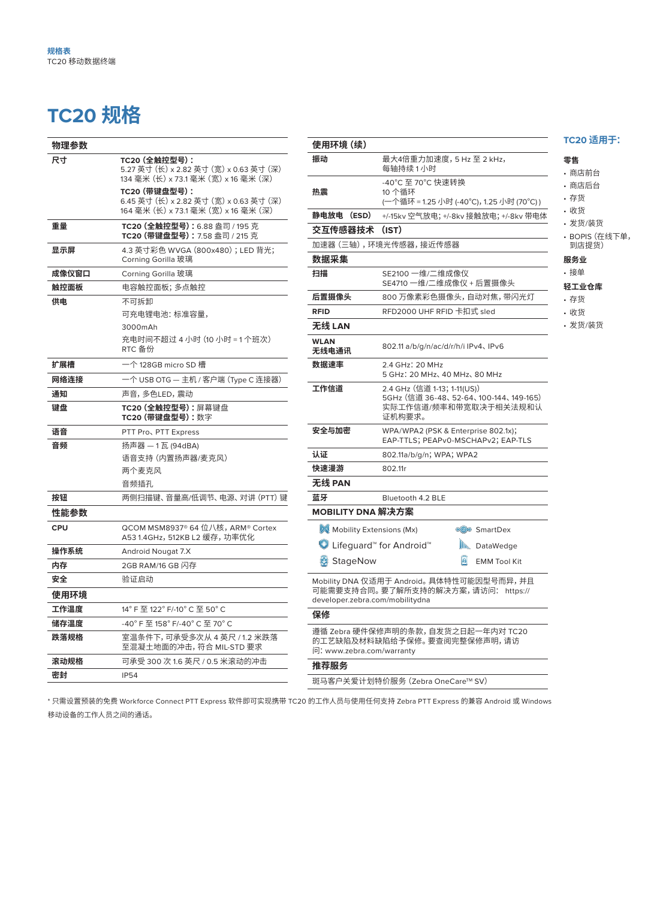#### TC20 规格 TC20 规格 **TC20 WITH KEYBOARD:**

| 物理参数       |                                                                                                  |
|------------|--------------------------------------------------------------------------------------------------|
| 尺寸         | TC20 (全触控型号):<br>5.27 英寸 (长) x 2.82 英寸 (宽) x 0.63 英寸 (深)<br>134 毫米 (长) x 73.1 毫米 (宽) x 16 毫米 (深) |
|            | TC20 (带键盘型号):<br>6.45 英寸 (长) x 2.82 英寸 (宽) x 0.63 英寸 (深)<br>164 毫米 (长) x 73.1 毫米 (宽) x 16 毫米 (深) |
| 重量         | TC20 (全触控型号): 6.88 盎司 / 195 克<br><b>TC20 (带键盘型号):</b> 7.58 盎司 / 215 克                            |
| 显示屏        | 4.3 英寸彩色 WVGA (800x480);LED 背光;<br>Corning Gorilla 玻璃                                            |
| 成像仪窗口      | Corning Gorilla 玻璃                                                                               |
| 触控面板       | 电容触控面板; 多点触控                                                                                     |
| 供电         | 不可拆卸                                                                                             |
|            | 可充电锂电池: 标准容量,                                                                                    |
|            | 3000mAh                                                                                          |
|            | 充电时间不超过 4 小时 (10 小时 = 1 个班次)<br>RTC 备份                                                           |
| 扩展槽        | 一个 128GB micro SD 槽                                                                              |
| 网络连接       | 一个 USB OTG — 主机 / 客户端 (Type C 连接器)                                                               |
| 通知         | 声音,多色LED,震动                                                                                      |
| 键盘         | TC20 (全触控型号): 屏幕键盘<br>TC20 (带键盘型号):数字                                                            |
| 语音         | PTT Pro、PTT Express                                                                              |
| 音频         | 扬声器 — 1 瓦 (94dBA)                                                                                |
|            | 语音支持 (内置扬声器/麦克风)                                                                                 |
|            | 两个麦克风                                                                                            |
|            | 音频插孔                                                                                             |
| 按钮         | 两侧扫描键、音量高/低调节、电源、 对讲 (PTT) 键                                                                     |
| 性能参数       |                                                                                                  |
| <b>CPU</b> | QCOM MSM8937® 64 位八核, ARM® Cortex<br>A53 1.4GHz,512KB L2 缓存,功率优化                                 |
| 操作系统       | Android Nougat 7.X                                                                               |
| 内存         | 2GB RAM/16 GB 闪存                                                                                 |
| 安全         | 验证启动                                                                                             |
| 使用环境       |                                                                                                  |
| 工作温度       | 14° F 至 122° F/-10° C 至 50° C                                                                    |
| 储存温度       | -40° F 至 158° F/-40° C 至 70° C                                                                   |
| 跌落规格       | 室温条件下,可承受多次从 4 英尺 / 1.2 米跌落<br>至混凝土地面的冲击,符合 MIL-STD 要求                                           |
| 滚动规格       | 可承受 300 次 1.6 英尺 / 0.5 米滚动的冲击                                                                    |
| 密封         | <b>IP54</b>                                                                                      |
|            |                                                                                                  |

6.45 in. L x 2.82 in W x .63 in. D

6.45 in. L x 2.82 in W x .63 in. D

| 使用环境(续)                                                  |                                                                                                         |
|----------------------------------------------------------|---------------------------------------------------------------------------------------------------------|
| 振动                                                       | 最大4倍重力加速度,5 Hz 至 2 kHz,<br>每轴持续 1 小时                                                                    |
| 热震                                                       | -40°C 至 70°C 快速转换<br>10 个循环<br>(一个循环 = 1.25 小时 (−40°C),1.25 小时 (70°C) )                                 |
| 静电放电 (ESD)                                               | +/-15kv 空气放电; +/-8kv 接触放电; +/-8kv 带电体                                                                   |
| 交互传感器技术                                                  | (IST)                                                                                                   |
|                                                          | 加速器 (三轴), 环境光传感器, 接近传感器                                                                                 |
| 数据采集                                                     |                                                                                                         |
| 扫描                                                       | SE2100 一维/二维成像仪<br>SE4710 一维/二维成像仪 + 后置摄像头                                                              |
| 后置摄像头                                                    | 800 万像素彩色摄像头,自动对焦,带闪光灯                                                                                  |
| <b>RFID</b>                                              | RFD2000 UHF RFID 卡扣式 sled                                                                               |
| 无线 LAN                                                   |                                                                                                         |
| <b>WLAN</b><br>无线电通讯                                     | 802.11 a/b/g/n/ac/d/r/h/i IPv4、IPv6                                                                     |
| 数据速率                                                     | 2.4 GHz: 20 MHz<br>5 GHz: 20 MHz, 40 MHz, 80 MHz                                                        |
| 工作信道                                                     | 2.4 GHz (信道 1-13; 1-11(US))<br>5GHz (信道 36-48、52-64、100-144、149-165)<br>实际工作信道/频率和带宽取决于相关法规和认<br>证机构要求。 |
| 安全与加密                                                    | WPA/WPA2 (PSK & Enterprise 802.1x);<br>EAP-TTLS; PEAPv0-MSCHAPv2; EAP-TLS                               |
| 认证                                                       | 802.11a/b/g/n; WPA; WPA2                                                                                |
| 快速漫游                                                     | 802.11r                                                                                                 |
| 无线 PAN                                                   |                                                                                                         |
| 蓝牙                                                       | Bluetooth 4.2 BLE                                                                                       |
| MOBILITY DNA 解决方案                                        |                                                                                                         |
| Mobility Extensions (Mx)                                 | <b>CO</b> SmartDex                                                                                      |
| <b>●</b> Lifeguard <sup>™</sup> for Android <sup>™</sup> | $\mathbb{R}$<br>DataWedge                                                                               |
| StageNow                                                 | $\vert \mathbf{B} \vert$<br><b>EMM Tool Kit</b>                                                         |
| developer.zebra.com/mobilitydna                          | Mobility DNA 仅适用于 Android。 具体特性可能因型号而异,并且<br>可能需要支持合同。要了解所支持的解决方案,请访问: https://                         |
| 保修                                                       |                                                                                                         |
| 问:www.zebra.com/warranty                                 | 遵循 Zebra 硬件保修声明的条款,自发货之日起一年内对 TC20<br>的工艺缺陷及材料缺陷给予保修。 要查阅完整保修声明, 请访                                     |
| 推荐服务                                                     |                                                                                                         |
|                                                          | 斑马客户关爱计划特价服务 (Zebra OneCare™ SV)                                                                        |

\* 只需设置预装的免费 Workforce Connect PTT Express 软件即可实现携带 TC20 的工作人员与使用任何支持 Zebra PTT Express 的兼容 Android 或 Windows 移动设备的工作人员之间的通话。

#### TC20 适用于:  $\overline{\phantom{a}}$ • Stocking  $\frac{1}{2}$

#### · 零售<br>- Shipping/Truck Shipping/Truck Shipping/Truck Shipping/Truck Shipping/Truck Shipping/Truck Shipping/Truck Shipping

- 商店前台
- 商店后台
- 存货
- 收货 **Hospitality Hospitality**

## • 发货/装货

• BOPIS(在线下单, 到店提货) **Light warehouse for the warehouse warehouse.** 副店提货) **DODIC** /左徙下单 到店提货)

#### 服务业

- 接单
- ー<br>轻工业仓库
	- 存货
	- 收货
- 发货/装货